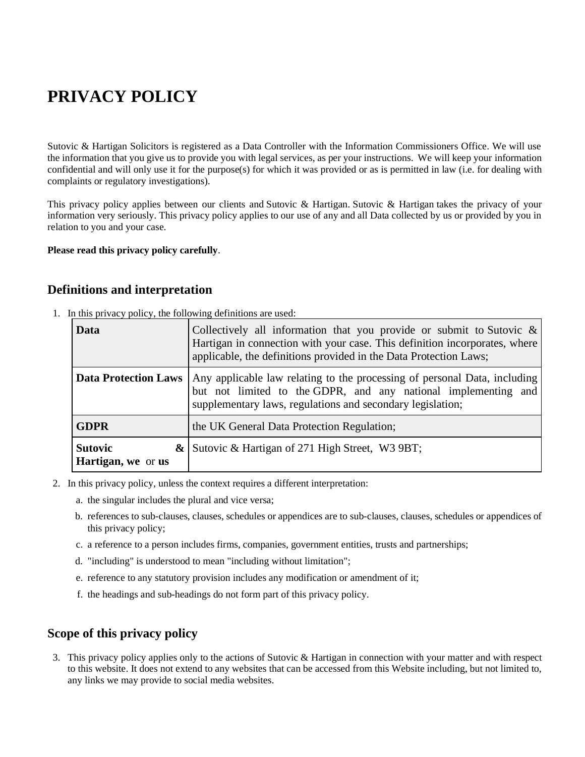# **PRIVACY POLICY**

Sutovic & Hartigan Solicitors is registered as a Data Controller with the Information Commissioners Office. We will use the information that you give us to provide you with legal services, as per your instructions. We will keep your information confidential and will only use it for the purpose(s) for which it was provided or as is permitted in law (i.e. for dealing with complaints or regulatory investigations).

This privacy policy applies between our clients and Sutovic & Hartigan. Sutovic & Hartigan takes the privacy of your information very seriously. This privacy policy applies to our use of any and all Data collected by us or provided by you in relation to you and your case.

#### **Please read this privacy policy carefully**.

#### **Definitions and interpretation**

1. In this privacy policy, the following definitions are used:

| Data                                 | Collectively all information that you provide or submit to Sutovic $\&$<br>Hartigan in connection with your case. This definition incorporates, where<br>applicable, the definitions provided in the Data Protection Laws; |
|--------------------------------------|----------------------------------------------------------------------------------------------------------------------------------------------------------------------------------------------------------------------------|
| <b>Data Protection Laws</b>          | Any applicable law relating to the processing of personal Data, including<br>but not limited to the GDPR, and any national implementing and<br>supplementary laws, regulations and secondary legislation;                  |
| <b>GDPR</b>                          | the UK General Data Protection Regulation;                                                                                                                                                                                 |
| <b>Sutovic</b><br>Hartigan, we or us | $\&$ Sutovic $\&$ Hartigan of 271 High Street, W3 9BT;                                                                                                                                                                     |

- 2. In this privacy policy, unless the context requires a different interpretation:
	- a. the singular includes the plural and vice versa;
	- b. references to sub-clauses, clauses, schedules or appendices are to sub-clauses, clauses, schedules or appendices of this privacy policy;
	- c. a reference to a person includes firms, companies, government entities, trusts and partnerships;
	- d. "including" is understood to mean "including without limitation";
	- e. reference to any statutory provision includes any modification or amendment of it;
	- f. the headings and sub-headings do not form part of this privacy policy.

### **Scope of this privacy policy**

3. This privacy policy applies only to the actions of Sutovic & Hartigan in connection with your matter and with respect to this website. It does not extend to any websites that can be accessed from this Website including, but not limited to, any links we may provide to social media websites.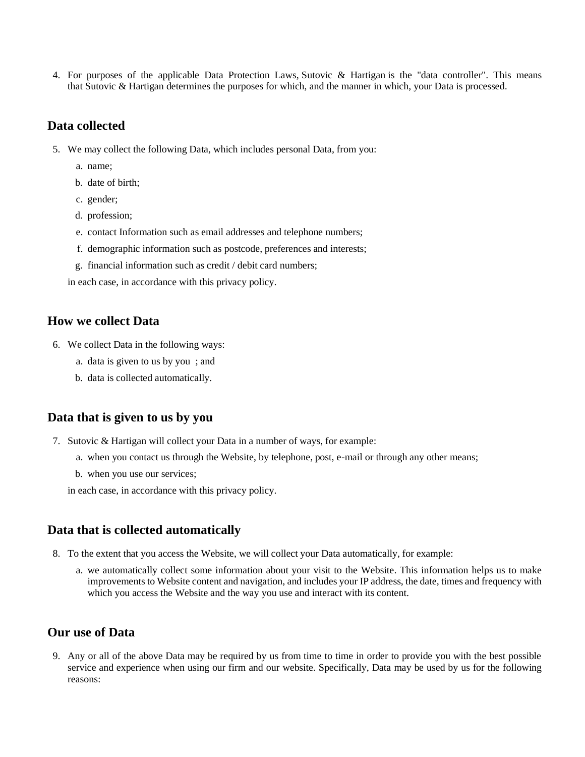4. For purposes of the applicable Data Protection Laws, Sutovic & Hartigan is the "data controller". This means that Sutovic & Hartigan determines the purposes for which, and the manner in which, your Data is processed.

#### **Data collected**

- 5. We may collect the following Data, which includes personal Data, from you:
	- a. name;
	- b. date of birth;
	- c. gender;
	- d. profession;
	- e. contact Information such as email addresses and telephone numbers;
	- f. demographic information such as postcode, preferences and interests;
	- g. financial information such as credit / debit card numbers;

in each case, in accordance with this privacy policy.

#### **How we collect Data**

- 6. We collect Data in the following ways:
	- a. data is given to us by you ; and
	- b. data is collected automatically.

#### **Data that is given to us by you**

- 7. Sutovic & Hartigan will collect your Data in a number of ways, for example:
	- a. when you contact us through the Website, by telephone, post, e-mail or through any other means;
	- b. when you use our services;

in each case, in accordance with this privacy policy.

#### **Data that is collected automatically**

- 8. To the extent that you access the Website, we will collect your Data automatically, for example:
	- a. we automatically collect some information about your visit to the Website. This information helps us to make improvements to Website content and navigation, and includes your IP address, the date, times and frequency with which you access the Website and the way you use and interact with its content.

## **Our use of Data**

9. Any or all of the above Data may be required by us from time to time in order to provide you with the best possible service and experience when using our firm and our website. Specifically, Data may be used by us for the following reasons: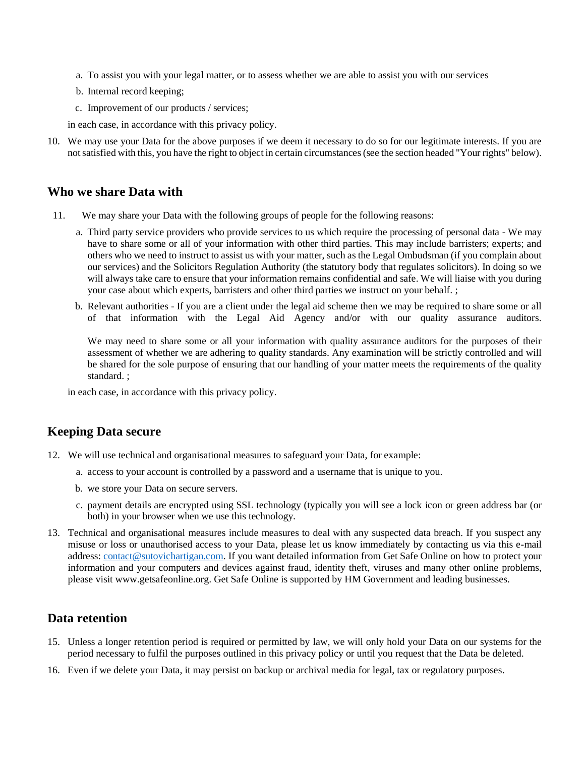- a. To assist you with your legal matter, or to assess whether we are able to assist you with our services
- b. Internal record keeping;
- c. Improvement of our products / services;

in each case, in accordance with this privacy policy.

10. We may use your Data for the above purposes if we deem it necessary to do so for our legitimate interests. If you are not satisfied with this, you have the right to object in certain circumstances (see the section headed "Your rights" below).

#### **Who we share Data with**

- 11. We may share your Data with the following groups of people for the following reasons:
	- a. Third party service providers who provide services to us which require the processing of personal data We may have to share some or all of your information with other third parties. This may include barristers; experts; and others who we need to instruct to assist us with your matter, such as the Legal Ombudsman (if you complain about our services) and the Solicitors Regulation Authority (the statutory body that regulates solicitors). In doing so we will always take care to ensure that your information remains confidential and safe. We will liaise with you during your case about which experts, barristers and other third parties we instruct on your behalf. ;
	- b. Relevant authorities If you are a client under the legal aid scheme then we may be required to share some or all of that information with the Legal Aid Agency and/or with our quality assurance auditors.

We may need to share some or all your information with quality assurance auditors for the purposes of their assessment of whether we are adhering to quality standards. Any examination will be strictly controlled and will be shared for the sole purpose of ensuring that our handling of your matter meets the requirements of the quality standard. ;

in each case, in accordance with this privacy policy.

#### **Keeping Data secure**

- 12. We will use technical and organisational measures to safeguard your Data, for example:
	- a. access to your account is controlled by a password and a username that is unique to you.
	- b. we store your Data on secure servers.
	- c. payment details are encrypted using SSL technology (typically you will see a lock icon or green address bar (or both) in your browser when we use this technology.
- 13. Technical and organisational measures include measures to deal with any suspected data breach. If you suspect any misuse or loss or unauthorised access to your Data, please let us know immediately by contacting us via this e-mail address: [contact@sutovichartigan.com.](mailto:contact@sutovichartigan.com) If you want detailed information from Get Safe Online on how to protect your information and your computers and devices against fraud, identity theft, viruses and many other online problems, please visit www.getsafeonline.org. Get Safe Online is supported by HM Government and leading businesses.

#### **Data retention**

- 15. Unless a longer retention period is required or permitted by law, we will only hold your Data on our systems for the period necessary to fulfil the purposes outlined in this privacy policy or until you request that the Data be deleted.
- 16. Even if we delete your Data, it may persist on backup or archival media for legal, tax or regulatory purposes.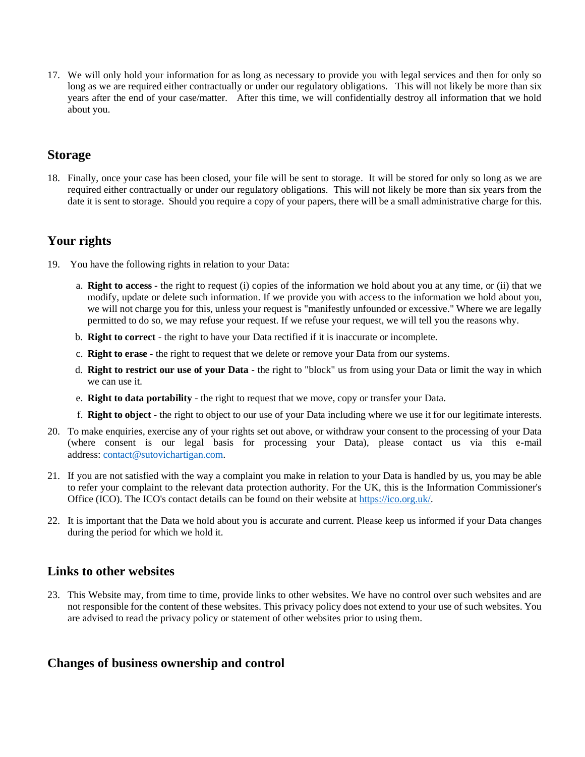17. We will only hold your information for as long as necessary to provide you with legal services and then for only so long as we are required either contractually or under our regulatory obligations. This will not likely be more than six years after the end of your case/matter. After this time, we will confidentially destroy all information that we hold about you.

## **Storage**

18. Finally, once your case has been closed, your file will be sent to storage. It will be stored for only so long as we are required either contractually or under our regulatory obligations. This will not likely be more than six years from the date it is sent to storage. Should you require a copy of your papers, there will be a small administrative charge for this.

## **Your rights**

- 19. You have the following rights in relation to your Data:
	- a. **Right to access** the right to request (i) copies of the information we hold about you at any time, or (ii) that we modify, update or delete such information. If we provide you with access to the information we hold about you, we will not charge you for this, unless your request is "manifestly unfounded or excessive." Where we are legally permitted to do so, we may refuse your request. If we refuse your request, we will tell you the reasons why.
	- b. **Right to correct** the right to have your Data rectified if it is inaccurate or incomplete.
	- c. **Right to erase** the right to request that we delete or remove your Data from our systems.
	- d. **Right to restrict our use of your Data** the right to "block" us from using your Data or limit the way in which we can use it.
	- e. **Right to data portability** the right to request that we move, copy or transfer your Data.
	- f. **Right to object** the right to object to our use of your Data including where we use it for our legitimate interests.
- 20. To make enquiries, exercise any of your rights set out above, or withdraw your consent to the processing of your Data (where consent is our legal basis for processing your Data), please contact us via this e-mail address: [contact@sutovichartigan.com.](mailto:contact@sutovichartigan.com)
- 21. If you are not satisfied with the way a complaint you make in relation to your Data is handled by us, you may be able to refer your complaint to the relevant data protection authority. For the UK, this is the Information Commissioner's Office (ICO). The ICO's contact details can be found on their website at [https://ico.org.uk/.](https://ico.org.uk/)
- 22. It is important that the Data we hold about you is accurate and current. Please keep us informed if your Data changes during the period for which we hold it.

### **Links to other websites**

23. This Website may, from time to time, provide links to other websites. We have no control over such websites and are not responsible for the content of these websites. This privacy policy does not extend to your use of such websites. You are advised to read the privacy policy or statement of other websites prior to using them.

### **Changes of business ownership and control**